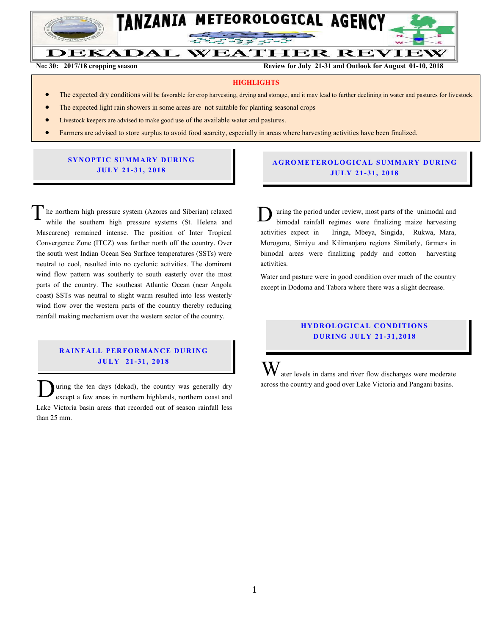

Ξ

**No. 30: 2017/2018 Cropping season Review for July 21-31 and Outlook for August 01-10, 2018** DEKADAL **WEATHER REVIEW** 

**No: 30: 2017/18 cropping season Review for July 21-31 and Outlook for August 01-10, 2018**

#### **HIGHLIGHTS**

- The expected dry conditions will be favorable for crop harvesting, drying and storage, and it may lead to further declining in water and pastures for livestock.
- The expected light rain showers in some areas are not suitable for planting seasonal crops
- Livestock keepers are advised to make good use of the available water and pastures.
- **•** Farmers are advised to store surplus to avoid food scarcity, especially in areas where harvesting activities have been finalized.

### **SYNOPTIC SUMMARY DURING JU LY 21- 31, 201 8**

he northern high pressure system (Azores and Siberian) relaxed while the southern high pressure systems (St. Helena and Mascarene) remained intense. The position of Inter Tropical Convergence Zone (ITCZ) was further north off the country. Over the south west Indian Ocean Sea Surface temperatures (SSTs) were neutral to cool, resulted into no cyclonic activities. The dominant wind flow pattern was southerly to south easterly over the most parts of the country. The southeast Atlantic Ocean (near Angola coast) SSTs was neutral to slight warm resulted into less westerly wind flow over the western parts of the country thereby reducing rainfall making mechanism over the western sector of the country. T

#### **RAINFALL PERFORMANCE DURING JU LY 21- 31, 2018**

uring the ten days (dekad), the country was generally dry except a few areas in northern highlands, northern coast and Lake Victoria basin areas that recorded out of season rainfall less than 25 mm.  $\overline{\mathbf{D}}$ 

### **A G RO METER O LO G IC AL SU MMAR Y DU R IN G JU LY 21- 31, 2018**

uring the period under review, most parts of the unimodal and bimodal rainfall regimes were finalizing maize harvesting activities expect in Iringa, Mbeya, Singida, Rukwa, Mara, Morogoro, Simiyu and Kilimanjaro regions Similarly, farmers in bimodal areas were finalizing paddy and cotton harvesting activities. D

Water and pasture were in good condition over much of the country except in Dodoma and Tabora where there was a slight decrease.

# **HYDROLOGICAL CONDITIONS D UR ING JU LY 21- 31 , 2018**

ater levels in dams and river flow discharges were moderate across the country and good over Lake Victoria and Pangani basins. W